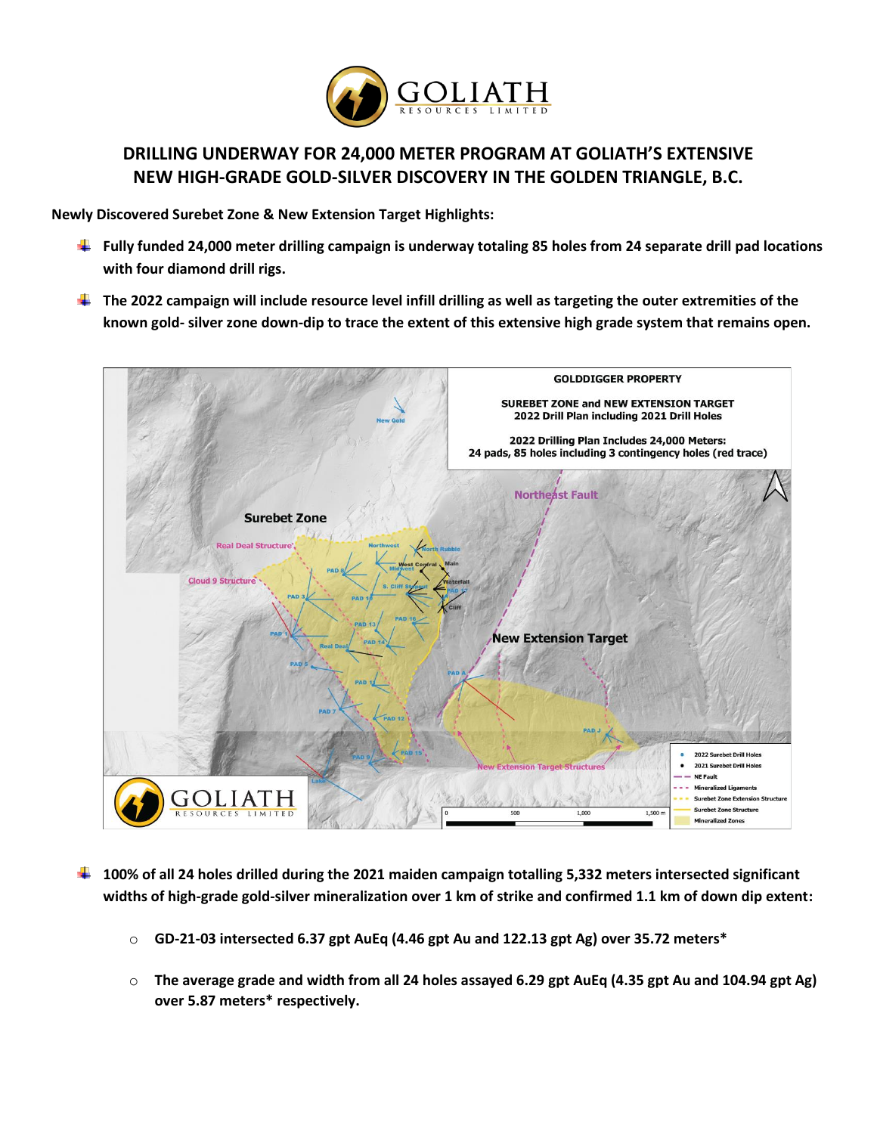

# **DRILLING UNDERWAY FOR 24,000 METER PROGRAM AT GOLIATH'S EXTENSIVE NEW HIGH-GRADE GOLD-SILVER DISCOVERY IN THE GOLDEN TRIANGLE, B.C.**

**Newly Discovered Surebet Zone & New Extension Target Highlights:**

- **Fully funded 24,000 meter drilling campaign is underway totaling 85 holes from 24 separate drill pad locations with four diamond drill rigs.**
- **The 2022 campaign will include resource level infill drilling as well as targeting the outer extremities of the known gold- silver zone down-dip to trace the extent of this extensive high grade system that remains open.**



- **100% of all 24 holes drilled during the 2021 maiden campaign totalling 5,332 meters intersected significant widths of high-grade gold-silver mineralization over 1 km of strike and confirmed 1.1 km of down dip extent:**
	- o **GD-21-03 intersected 6.37 gpt AuEq (4.46 gpt Au and 122.13 gpt Ag) over 35.72 meters\***
	- o **The average grade and width from all 24 holes assayed 6.29 gpt AuEq (4.35 gpt Au and 104.94 gpt Ag) over 5.87 meters\* respectively.**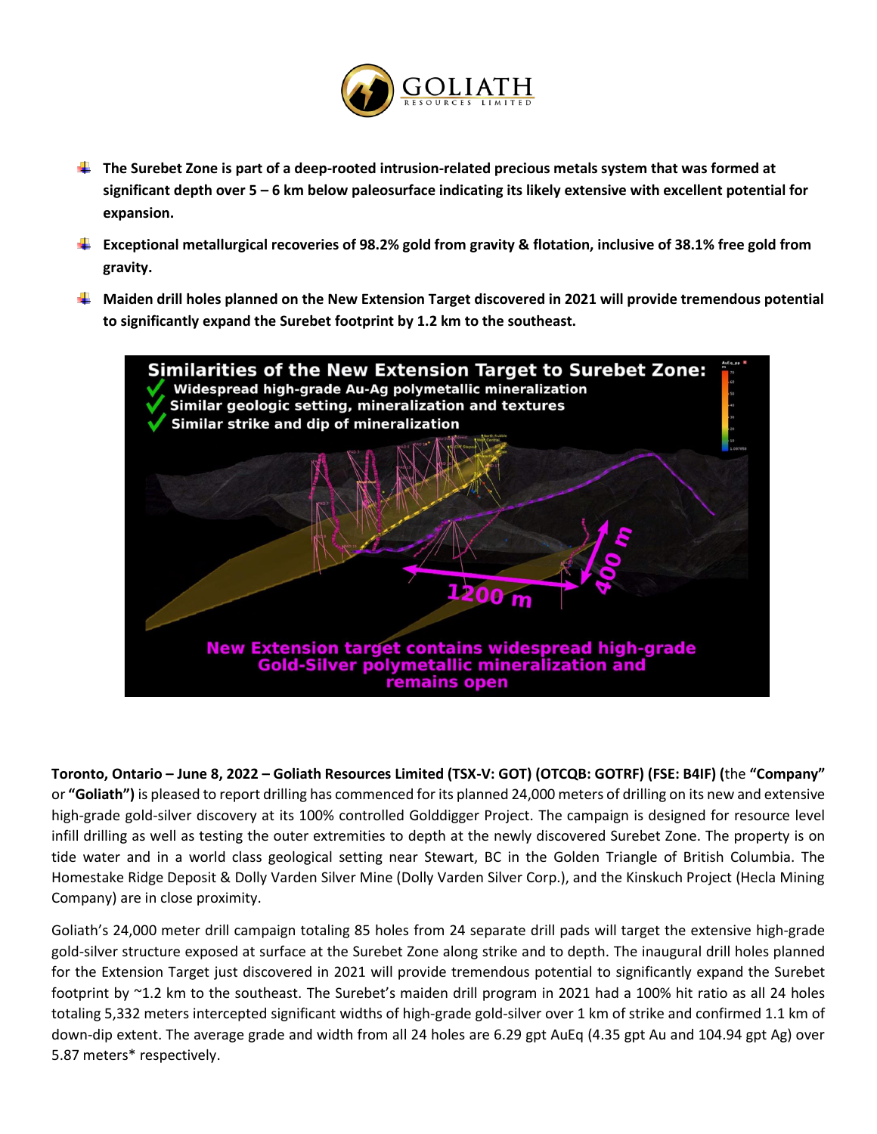

- **The Surebet Zone is part of a deep-rooted intrusion-related precious metals system that was formed at significant depth over 5 – 6 km below paleosurface indicating its likely extensive with excellent potential for expansion.**
- **Exceptional metallurgical recoveries of 98.2% gold from gravity & flotation, inclusive of 38.1% free gold from gravity.**
- **Maiden drill holes planned on the New Extension Target discovered in 2021 will provide tremendous potential to significantly expand the Surebet footprint by 1.2 km to the southeast.**



**Toronto, Ontario – June 8, 2022 – Goliath Resources Limited (TSX-V: GOT) (OTCQB: GOTRF) (FSE: B4IF) (**the **"Company"**  or **"Goliath")** is pleased to report drilling has commenced for its planned 24,000 meters of drilling on its new and extensive high-grade gold-silver discovery at its 100% controlled Golddigger Project. The campaign is designed for resource level infill drilling as well as testing the outer extremities to depth at the newly discovered Surebet Zone. The property is on tide water and in a world class geological setting near Stewart, BC in the Golden Triangle of British Columbia. The Homestake Ridge Deposit & Dolly Varden Silver Mine (Dolly Varden Silver Corp.), and the Kinskuch Project (Hecla Mining Company) are in close proximity.

Goliath's 24,000 meter drill campaign totaling 85 holes from 24 separate drill pads will target the extensive high-grade gold-silver structure exposed at surface at the Surebet Zone along strike and to depth. The inaugural drill holes planned for the Extension Target just discovered in 2021 will provide tremendous potential to significantly expand the Surebet footprint by ~1.2 km to the southeast. The Surebet's maiden drill program in 2021 had a 100% hit ratio as all 24 holes totaling 5,332 meters intercepted significant widths of high-grade gold-silver over 1 km of strike and confirmed 1.1 km of down-dip extent. The average grade and width from all 24 holes are 6.29 gpt AuEq (4.35 gpt Au and 104.94 gpt Ag) over 5.87 meters\* respectively.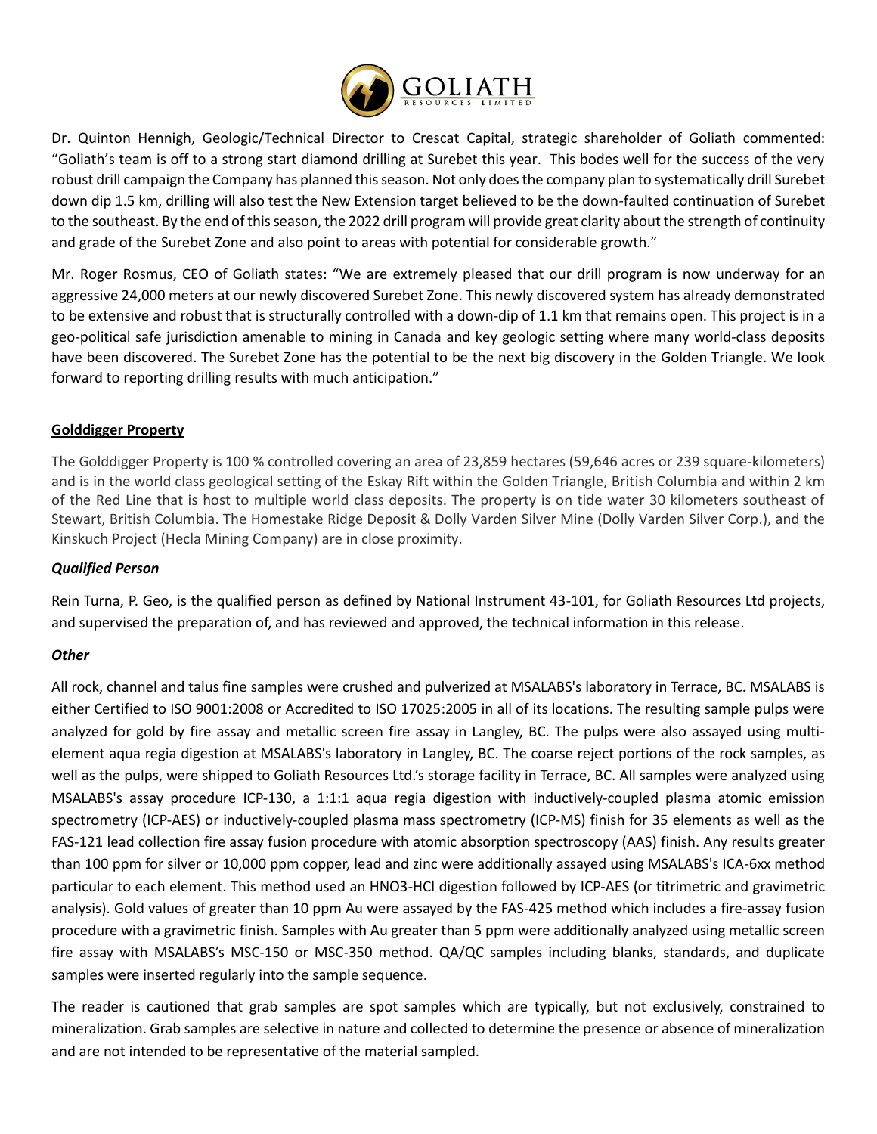

Dr. Quinton Hennigh, Geologic/Technical Director to Crescat Capital, strategic shareholder of Goliath commented: "Goliath's team is off to a strong start diamond drilling at Surebet this year. This bodes well for the success of the very robust drill campaign the Company has planned this season. Not only does the company plan to systematically drill Surebet down dip 1.5 km, drilling will also test the New Extension target believed to be the down-faulted continuation of Surebet to the southeast. By the end of this season, the 2022 drill program will provide great clarity about the strength of continuity and grade of the Surebet Zone and also point to areas with potential for considerable growth."

Mr. Roger Rosmus, CEO of Goliath states: "We are extremely pleased that our drill program is now underway for an aggressive 24,000 meters at our newly discovered Surebet Zone. This newly discovered system has already demonstrated to be extensive and robust that is structurally controlled with a down-dip of 1.1 km that remains open. This project is in a geo-political safe jurisdiction amenable to mining in Canada and key geologic setting where many world-class deposits have been discovered. The Surebet Zone has the potential to be the next big discovery in the Golden Triangle. We look forward to reporting drilling results with much anticipation."

### **Golddigger Property**

The Golddigger Property is 100 % controlled covering an area of 23,859 hectares (59,646 acres or 239 square-kilometers) and is in the world class geological setting of the Eskay Rift within the Golden Triangle, British Columbia and within 2 km of the Red Line that is host to multiple world class deposits. The property is on tide water 30 kilometers southeast of Stewart, British Columbia. The Homestake Ridge Deposit & Dolly Varden Silver Mine (Dolly Varden Silver Corp.), and the Kinskuch Project (Hecla Mining Company) are in close proximity.

#### *Qualified Person*

Rein Turna, P. Geo, is the qualified person as defined by National Instrument 43-101, for Goliath Resources Ltd projects, and supervised the preparation of, and has reviewed and approved, the technical information in this release.

#### *Other*

All rock, channel and talus fine samples were crushed and pulverized at MSALABS's laboratory in Terrace, BC. MSALABS is either Certified to ISO 9001:2008 or Accredited to ISO 17025:2005 in all of its locations. The resulting sample pulps were analyzed for gold by fire assay and metallic screen fire assay in Langley, BC. The pulps were also assayed using multielement aqua regia digestion at MSALABS's laboratory in Langley, BC. The coarse reject portions of the rock samples, as well as the pulps, were shipped to Goliath Resources Ltd.'s storage facility in Terrace, BC. All samples were analyzed using MSALABS's assay procedure ICP-130, a 1:1:1 aqua regia digestion with inductively-coupled plasma atomic emission spectrometry (ICP-AES) or inductively-coupled plasma mass spectrometry (ICP-MS) finish for 35 elements as well as the FAS-121 lead collection fire assay fusion procedure with atomic absorption spectroscopy (AAS) finish. Any results greater than 100 ppm for silver or 10,000 ppm copper, lead and zinc were additionally assayed using MSALABS's ICA-6xx method particular to each element. This method used an HNO3-HCl digestion followed by ICP-AES (or titrimetric and gravimetric analysis). Gold values of greater than 10 ppm Au were assayed by the FAS-425 method which includes a fire-assay fusion procedure with a gravimetric finish. Samples with Au greater than 5 ppm were additionally analyzed using metallic screen fire assay with MSALABS's MSC-150 or MSC-350 method. QA/QC samples including blanks, standards, and duplicate samples were inserted regularly into the sample sequence.

The reader is cautioned that grab samples are spot samples which are typically, but not exclusively, constrained to mineralization. Grab samples are selective in nature and collected to determine the presence or absence of mineralization and are not intended to be representative of the material sampled.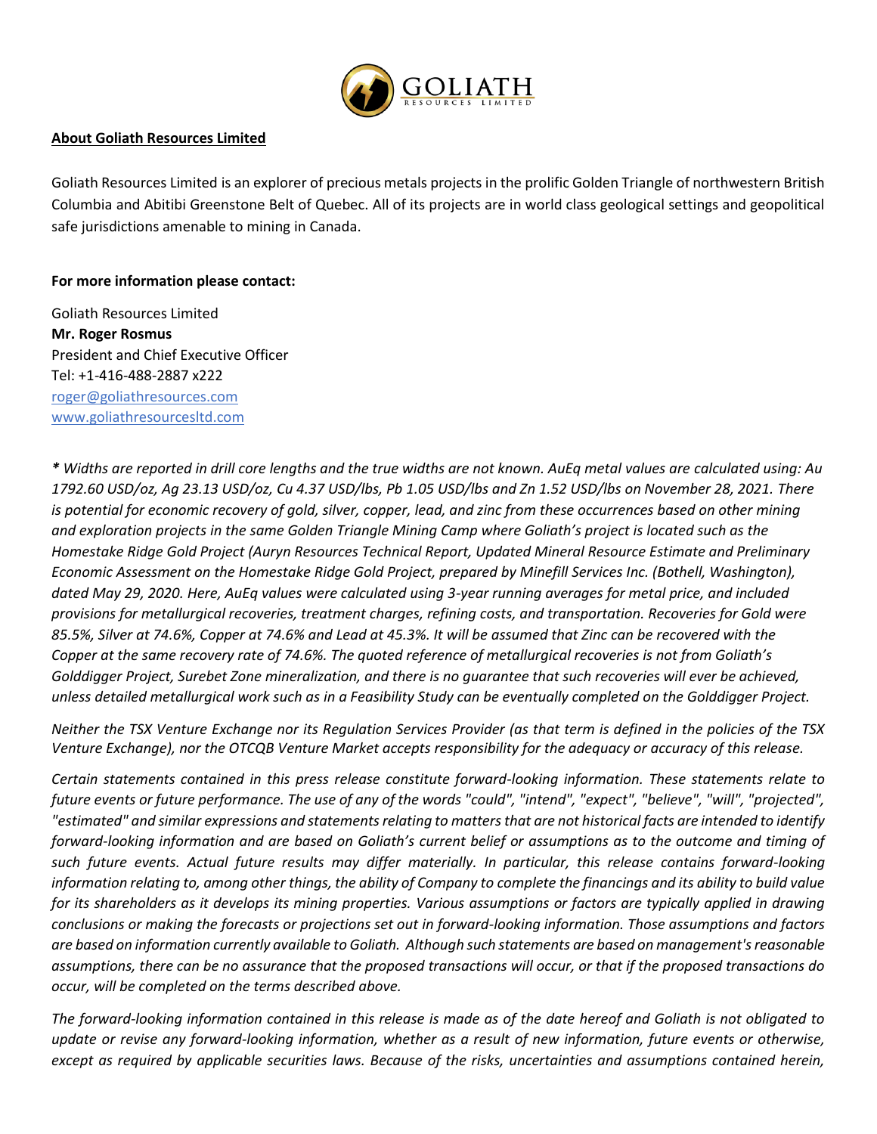

#### **About Goliath Resources Limited**

Goliath Resources Limited is an explorer of precious metals projects in the prolific Golden Triangle of northwestern British Columbia and Abitibi Greenstone Belt of Quebec. All of its projects are in world class geological settings and geopolitical safe jurisdictions amenable to mining in Canada.

#### **For more information please contact:**

Goliath Resources Limited **Mr. Roger Rosmus**  President and Chief Executive Officer Tel: +1-416-488-2887 x222 [roger@goliathresources.com](mailto:roger@goliathresources.com) [www.goliathresourcesltd.com](http://www.goliathresourcesltd.com/)

*\* Widths are reported in drill core lengths and the true widths are not known. AuEq metal values are calculated using: Au 1792.60 USD/oz, Ag 23.13 USD/oz, Cu 4.37 USD/lbs, Pb 1.05 USD/lbs and Zn 1.52 USD/lbs on November 28, 2021. There is potential for economic recovery of gold, silver, copper, lead, and zinc from these occurrences based on other mining and exploration projects in the same Golden Triangle Mining Camp where Goliath's project is located such as the Homestake Ridge Gold Project (Auryn Resources Technical Report, Updated Mineral Resource Estimate and Preliminary Economic Assessment on the Homestake Ridge Gold Project, prepared by Minefill Services Inc. (Bothell, Washington), dated May 29, 2020. Here, AuEq values were calculated using 3-year running averages for metal price, and included provisions for metallurgical recoveries, treatment charges, refining costs, and transportation. Recoveries for Gold were 85.5%, Silver at 74.6%, Copper at 74.6% and Lead at 45.3%. It will be assumed that Zinc can be recovered with the Copper at the same recovery rate of 74.6%. The quoted reference of metallurgical recoveries is not from Goliath's Golddigger Project, Surebet Zone mineralization, and there is no guarantee that such recoveries will ever be achieved, unless detailed metallurgical work such as in a Feasibility Study can be eventually completed on the Golddigger Project.*

*Neither the TSX Venture Exchange nor its Regulation Services Provider (as that term is defined in the policies of the TSX Venture Exchange), nor the OTCQB Venture Market accepts responsibility for the adequacy or accuracy of this release.*

*Certain statements contained in this press release constitute forward-looking information. These statements relate to future events or future performance. The use of any of the words "could", "intend", "expect", "believe", "will", "projected", "estimated" and similar expressions and statements relating to matters that are not historical facts are intended to identify forward-looking information and are based on Goliath's current belief or assumptions as to the outcome and timing of such future events. Actual future results may differ materially. In particular, this release contains forward-looking information relating to, among other things, the ability of Company to complete the financings and its ability to build value for its shareholders as it develops its mining properties. Various assumptions or factors are typically applied in drawing conclusions or making the forecasts or projections set out in forward-looking information. Those assumptions and factors are based on information currently available to Goliath. Although such statements are based on management's reasonable assumptions, there can be no assurance that the proposed transactions will occur, or that if the proposed transactions do occur, will be completed on the terms described above.*

*The forward-looking information contained in this release is made as of the date hereof and Goliath is not obligated to update or revise any forward-looking information, whether as a result of new information, future events or otherwise, except as required by applicable securities laws. Because of the risks, uncertainties and assumptions contained herein,*